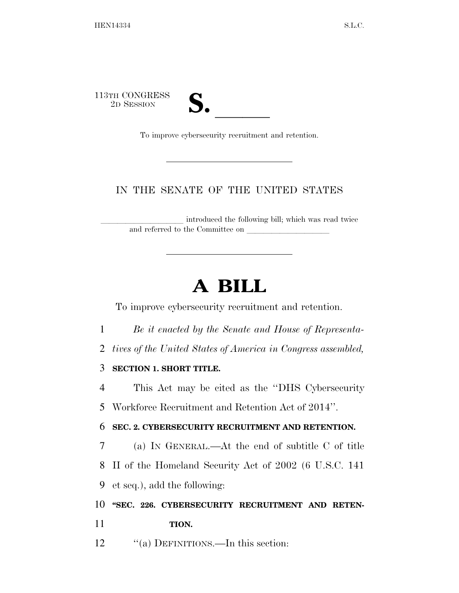113TH CONGRESS TH CONGRESS<br>
2D SESSION<br>
To improve cybersecurity recruitment and retention.

## IN THE SENATE OF THE UNITED STATES

introduced the following bill; which was read twice and referred to the Committee on

## **A BILL**

To improve cybersecurity recruitment and retention.

- 1 *Be it enacted by the Senate and House of Representa-*
- 2 *tives of the United States of America in Congress assembled,*

## 3 **SECTION 1. SHORT TITLE.**

4 This Act may be cited as the ''DHS Cybersecurity

5 Workforce Recruitment and Retention Act of 2014''.

## 6 **SEC. 2. CYBERSECURITY RECRUITMENT AND RETENTION.**

7 (a) IN GENERAL.—At the end of subtitle C of title 8 II of the Homeland Security Act of 2002 (6 U.S.C. 141

9 et seq.), add the following:

10 **''SEC. 226. CYBERSECURITY RECRUITMENT AND RETEN-**11 **TION.** 

12 "(a) DEFINITIONS.—In this section: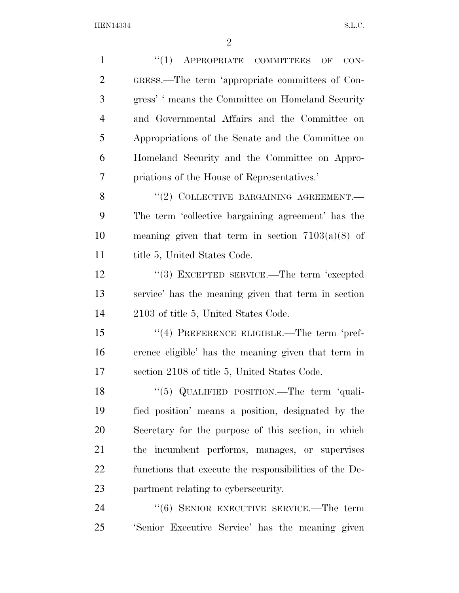HEN14334 S.L.C.

| $\mathbf{1}$   | APPROPRIATE COMMITTEES OF<br>``(1)<br>$CON-$           |
|----------------|--------------------------------------------------------|
| $\overline{2}$ | GRESS.—The term 'appropriate committees of Con-        |
| 3              | gress' 'means the Committee on Homeland Security       |
| $\overline{4}$ | and Governmental Affairs and the Committee on          |
| 5              | Appropriations of the Senate and the Committee on      |
| 6              | Homeland Security and the Committee on Appro-          |
| 7              | priations of the House of Representatives.'            |
| 8              | "(2) COLLECTIVE BARGAINING AGREEMENT.-                 |
| 9              | The term 'collective bargaining agreement' has the     |
| 10             | meaning given that term in section $7103(a)(8)$ of     |
| 11             | title 5, United States Code.                           |
| 12             | "(3) EXCEPTED SERVICE.—The term 'excepted              |
| 13             | service' has the meaning given that term in section    |
| 14             | 2103 of title 5, United States Code.                   |
| 15             | $(4)$ PREFERENCE ELIGIBLE.—The term 'pref-             |
| 16             | erence eligible' has the meaning given that term in    |
| 17             | section 2108 of title 5, United States Code.           |
| 18             | "(5) QUALIFIED POSITION.—The term 'quali-              |
| 19             | fied position' means a position, designated by the     |
| 20             | Secretary for the purpose of this section, in which    |
| 21             | the incumbent performs, manages, or supervises         |
| 22             | functions that execute the responsibilities of the De- |
| 23             | partment relating to cybersecurity.                    |
| 24             | $``(6)$ SENIOR EXECUTIVE SERVICE.—The term             |
| 25             | 'Senior Executive Service' has the meaning given       |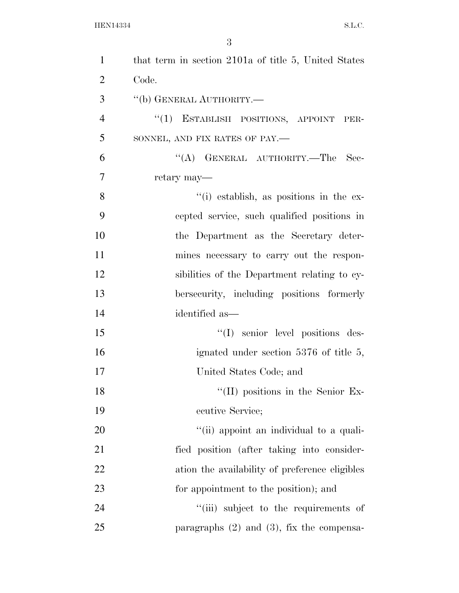| $\mathbf{1}$   | that term in section 2101a of title 5, United States |
|----------------|------------------------------------------------------|
| $\overline{2}$ | Code.                                                |
| 3              | "(b) GENERAL AUTHORITY.—                             |
| $\overline{4}$ | "(1) ESTABLISH POSITIONS, APPOINT PER-               |
| 5              | SONNEL, AND FIX RATES OF PAY.-                       |
| 6              | $\lq\lq$ (A) GENERAL AUTHORITY.—The<br>Sec-          |
| $\overline{7}$ | retary may—                                          |
| 8              | "(i) establish, as positions in the ex-              |
| 9              | cepted service, such qualified positions in          |
| 10             | the Department as the Secretary deter-               |
| 11             | mines necessary to carry out the respon-             |
| 12             | sibilities of the Department relating to cy-         |
| 13             | bersecurity, including positions formerly            |
| 14             | identified as—                                       |
| 15             | "(I) senior level positions des-                     |
| 16             | ignated under section 5376 of title 5,               |
| 17             | United States Code; and                              |
| 18             | $\lq\lq$ (II) positions in the Senior Ex-            |
| 19             | ecutive Service;                                     |
| 20             | "(ii) appoint an individual to a quali-              |
| 21             | fied position (after taking into consider-           |
| 22             | ation the availability of preference eligibles       |
| 23             | for appointment to the position); and                |
| 24             | "(iii) subject to the requirements of                |
| 25             | paragraphs $(2)$ and $(3)$ , fix the compensa-       |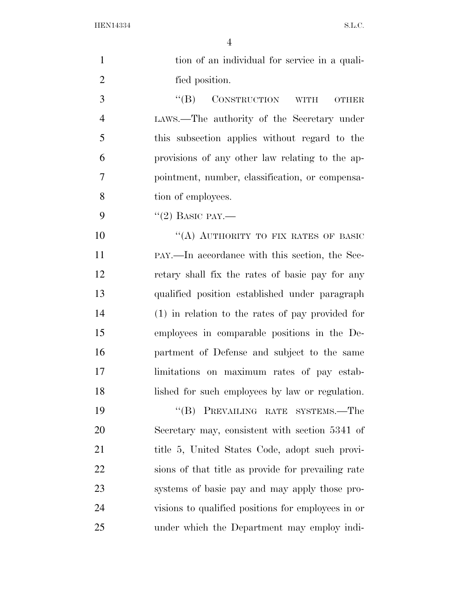HEN14334 S.L.C.

| $\mathbf{1}$   | tion of an individual for service in a quali-               |
|----------------|-------------------------------------------------------------|
| $\overline{2}$ | fied position.                                              |
| 3              | CONSTRUCTION<br>$\lq\lq (B)$<br><b>WITH</b><br><b>OTHER</b> |
| $\overline{4}$ | LAWS.—The authority of the Secretary under                  |
| 5              | this subsection applies without regard to the               |
| 6              | provisions of any other law relating to the ap-             |
| 7              | pointment, number, classification, or compensa-             |
| 8              | tion of employees.                                          |
| 9              | $"(2)$ BASIC PAY.—                                          |
| 10             | "(A) AUTHORITY TO FIX RATES OF BASIC                        |
| 11             | PAY.—In accordance with this section, the Sec-              |
| 12             | retary shall fix the rates of basic pay for any             |
| 13             | qualified position established under paragraph              |
| 14             | $(1)$ in relation to the rates of pay provided for          |
| 15             | employees in comparable positions in the De-                |
| 16             | partment of Defense and subject to the same                 |
| 17             | limitations on maximum rates of pay estab-                  |
| 18             | lished for such employees by law or regulation.             |
| 19             | "(B) PREVAILING RATE SYSTEMS.—The                           |
| 20             | Secretary may, consistent with section 5341 of              |
| 21             | title 5, United States Code, adopt such provi-              |
| 22             | sions of that title as provide for prevailing rate          |
| 23             | systems of basic pay and may apply those pro-               |
| 24             | visions to qualified positions for employees in or          |
| 25             | under which the Department may employ indi-                 |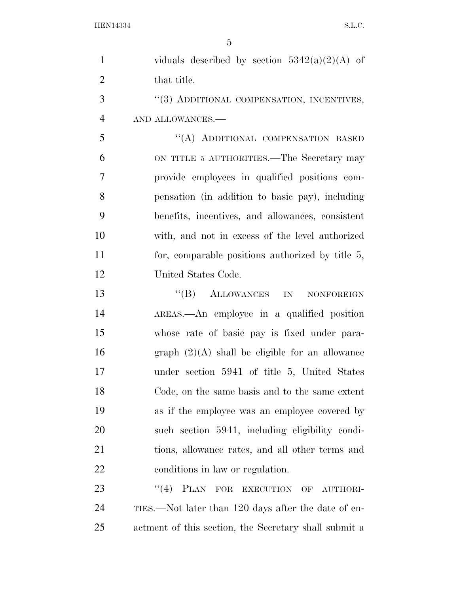| $\mathbf{1}$   | viduals described by section $5342(a)(2)(A)$ of       |
|----------------|-------------------------------------------------------|
| $\overline{2}$ | that title.                                           |
| 3              | "(3) ADDITIONAL COMPENSATION, INCENTIVES,             |
| $\overline{4}$ | AND ALLOWANCES.-                                      |
| 5              | "(A) ADDITIONAL COMPENSATION BASED                    |
| 6              | ON TITLE 5 AUTHORITIES.—The Secretary may             |
| $\overline{7}$ | provide employees in qualified positions com-         |
| 8              | pensation (in addition to basic pay), including       |
| 9              | benefits, incentives, and allowances, consistent      |
| 10             | with, and not in excess of the level authorized       |
| 11             | for, comparable positions authorized by title $5$ ,   |
| 12             | United States Code.                                   |
| 13             | $\lq\lq (B)$ ALLOWANCES IN<br>NONFOREIGN              |
| 14             | AREAS.—An employee in a qualified position            |
| 15             | whose rate of basic pay is fixed under para-          |
| 16             | graph $(2)(A)$ shall be eligible for an allowance     |
| 17             | under section 5941 of title 5, United States          |
| 18             | Code, on the same basis and to the same extent        |
| 19             | as if the employee was an employee covered by         |
| 20             | such section 5941, including eligibility condi-       |
| 21             | tions, allowance rates, and all other terms and       |
| 22             | conditions in law or regulation.                      |
| 23             | "(4) PLAN FOR EXECUTION OF<br>AUTHORI-                |
| 24             | TIES.—Not later than 120 days after the date of en-   |
| 25             | actment of this section, the Secretary shall submit a |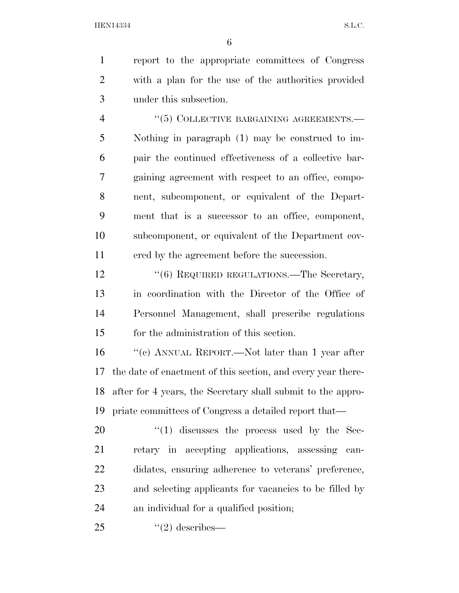report to the appropriate committees of Congress with a plan for the use of the authorities provided under this subsection.

4 "(5) COLLECTIVE BARGAINING AGREEMENTS.— Nothing in paragraph (1) may be construed to im- pair the continued effectiveness of a collective bar- gaining agreement with respect to an office, compo- nent, subcomponent, or equivalent of the Depart- ment that is a successor to an office, component, subcomponent, or equivalent of the Department cov-ered by the agreement before the succession.

12 "(6) REQUIRED REGULATIONS.—The Secretary, in coordination with the Director of the Office of Personnel Management, shall prescribe regulations for the administration of this section.

 ''(c) ANNUAL REPORT.—Not later than 1 year after the date of enactment of this section, and every year there- after for 4 years, the Secretary shall submit to the appro-priate committees of Congress a detailed report that—

 ''(1) discusses the process used by the Sec- retary in accepting applications, assessing can- didates, ensuring adherence to veterans' preference, and selecting applicants for vacancies to be filled by an individual for a qualified position;

''(2) describes—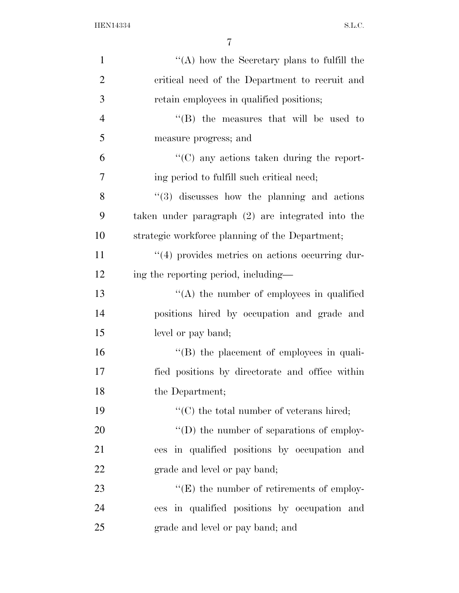| $\mathbf{1}$   | "(A) how the Secretary plans to fulfill the       |
|----------------|---------------------------------------------------|
| $\overline{2}$ | critical need of the Department to recruit and    |
| 3              | retain employees in qualified positions;          |
| $\overline{4}$ | $\lq\lq$ (B) the measures that will be used to    |
| 5              | measure progress; and                             |
| 6              | $\lq\lq$ (C) any actions taken during the report- |
| 7              | ing period to fulfill such critical need;         |
| 8              | $(3)$ discusses how the planning and actions      |
| 9              | taken under paragraph (2) are integrated into the |
| 10             | strategic workforce planning of the Department;   |
| 11             | "(4) provides metrics on actions occurring dur-   |
| 12             | ing the reporting period, including—              |
| 13             | $\lq\lq$ the number of employees in qualified     |
| 14             | positions hired by occupation and grade and       |
| 15             | level or pay band;                                |
| 16             | "(B) the placement of employees in quali-         |
| 17             | fied positions by directorate and office within   |
| 18             | the Department;                                   |
| 19             | "(C) the total number of veterans hired;          |
| 20             | $\lq\lq$ the number of separations of employ-     |
| 21             | ees in qualified positions by occupation and      |
| 22             | grade and level or pay band;                      |
| 23             | $\lq\lq(E)$ the number of retirements of employ-  |
| 24             | ees in qualified positions by occupation and      |
| 25             | grade and level or pay band; and                  |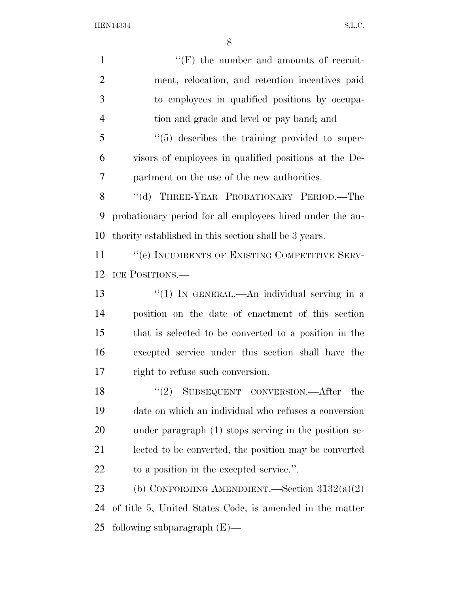HEN14334 S.L.C.

| $\mathbf{1}$   | $``(F)$ the number and amounts of recruit-                |
|----------------|-----------------------------------------------------------|
| $\overline{2}$ | ment, relocation, and retention incentives paid           |
| 3              | to employees in qualified positions by occupa-            |
| $\overline{4}$ | tion and grade and level or pay band; and                 |
| 5              | $\lq(5)$ describes the training provided to super-        |
| 6              | visors of employees in qualified positions at the De-     |
| 7              | partment on the use of the new authorities.               |
| 8              | "(d) THREE-YEAR PROBATIONARY PERIOD.—The                  |
| 9              | probationary period for all employees hired under the au- |
| 10             | thority established in this section shall be 3 years.     |
| 11             | "(e) INCUMBENTS OF EXISTING COMPETITIVE SERV-             |
| 12             | ICE POSITIONS.—                                           |
| 13             | "(1) IN GENERAL.—An individual serving in a               |
| 14             | position on the date of enactment of this section         |
| 15             | that is selected to be converted to a position in the     |
| 16             | excepted service under this section shall have the        |
| 17             | right to refuse such conversion.                          |
| 18             | (2)<br>SUBSEQUENT CONVERSION.-After<br>the                |
| 19             | date on which an individual who refuses a conversion      |
| 20             | under paragraph (1) stops serving in the position se-     |
| 21             | lected to be converted, the position may be converted     |
| <u>22</u>      | to a position in the excepted service.".                  |
| 23             | (b) CONFORMING AMENDMENT.—Section $3132(a)(2)$            |
| 24             | of title 5, United States Code, is amended in the matter  |
| 25             | following subparagraph $(E)$ —                            |